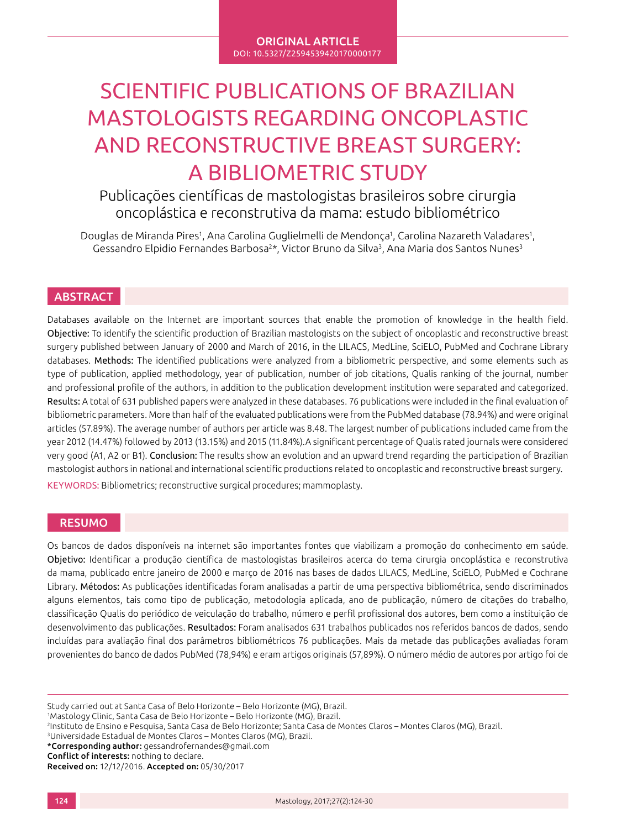# SCIENTIFIC PUBLICATIONS OF BRAZILIAN MASTOLOGISTS REGARDING ONCOPLASTIC AND RECONSTRUCTIVE BREAST SURGERY: A BIBLIOMETRIC STUDY

Publicações científicas de mastologistas brasileiros sobre cirurgia oncoplástica e reconstrutiva da mama: estudo bibliométrico

Douglas de Miranda Pires<sup>1</sup>, Ana Carolina Guglielmelli de Mendonça<sup>1</sup>, Carolina Nazareth Valadares<sup>1</sup>, Gessandro Elpidio Fernandes Barbosa<sup>2\*</sup>, Victor Bruno da Silva<sup>3</sup>, Ana Maria dos Santos Nunes<sup>3</sup>

# **ABSTRACT**

Databases available on the Internet are important sources that enable the promotion of knowledge in the health field. Objective: To identify the scientific production of Brazilian mastologists on the subject of oncoplastic and reconstructive breast surgery published between January of 2000 and March of 2016, in the LILACS, MedLine, SciELO, PubMed and Cochrane Library databases. Methods: The identified publications were analyzed from a bibliometric perspective, and some elements such as type of publication, applied methodology, year of publication, number of job citations, Qualis ranking of the journal, number and professional profile of the authors, in addition to the publication development institution were separated and categorized. Results: A total of 631 published papers were analyzed in these databases. 76 publications were included in the final evaluation of bibliometric parameters. More than half of the evaluated publications were from the PubMed database (78.94%) and were original articles (57.89%). The average number of authors per article was 8.48. The largest number of publications included came from the year 2012 (14.47%) followed by 2013 (13.15%) and 2015 (11.84%).A significant percentage of Qualis rated journals were considered very good (A1, A2 or B1). Conclusion: The results show an evolution and an upward trend regarding the participation of Brazilian mastologist authors in national and international scientific productions related to oncoplastic and reconstructive breast surgery.

KEYWORDS: Bibliometrics; reconstructive surgical procedures; mammoplasty.

# RESUMO

Os bancos de dados disponíveis na internet são importantes fontes que viabilizam a promoção do conhecimento em saúde. Objetivo: Identificar a produção científica de mastologistas brasileiros acerca do tema cirurgia oncoplástica e reconstrutiva da mama, publicado entre janeiro de 2000 e março de 2016 nas bases de dados LILACS, MedLine, SciELO, PubMed e Cochrane Library. Métodos: As publicações identificadas foram analisadas a partir de uma perspectiva bibliométrica, sendo discriminados alguns elementos, tais como tipo de publicação, metodologia aplicada, ano de publicação, número de citações do trabalho, classificação Qualis do periódico de veiculação do trabalho, número e perfil profissional dos autores, bem como a instituição de desenvolvimento das publicações. Resultados: Foram analisados 631 trabalhos publicados nos referidos bancos de dados, sendo incluídas para avaliação final dos parâmetros bibliométricos 76 publicações. Mais da metade das publicações avaliadas foram provenientes do banco de dados PubMed (78,94%) e eram artigos originais (57,89%). O número médio de autores por artigo foi de

Study carried out at Santa Casa of Belo Horizonte – Belo Horizonte (MG), Brazil.

1 Mastology Clinic, Santa Casa de Belo Horizonte – Belo Horizonte (MG), Brazil.

<sup>3</sup>Universidade Estadual de Montes Claros – Montes Claros (MG), Brazil.

\*Corresponding author: gessandrofernandes@gmail.com

Conflict of interests: nothing to declare.

Received on: 12/12/2016. Accepted on: 05/30/2017

<sup>2</sup>Instituto de Ensino e Pesquisa, Santa Casa de Belo Horizonte; Santa Casa de Montes Claros – Montes Claros (MG), Brazil.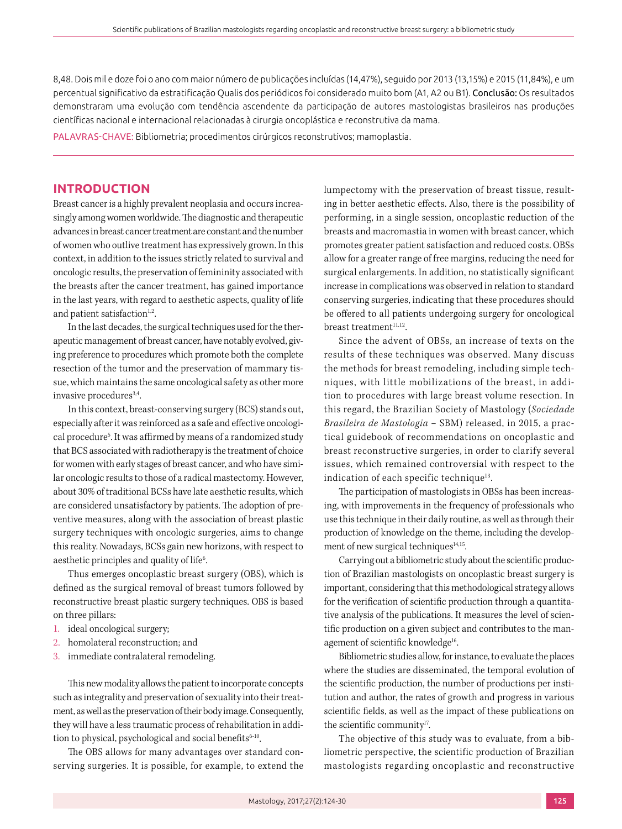8,48. Dois mil e doze foi o ano com maior número de publicações incluídas (14,47%), seguido por 2013 (13,15%) e 2015 (11,84%), e um percentual significativo da estratificação Qualis dos periódicos foi considerado muito bom (A1, A2 ou B1). Conclusão: Os resultados demonstraram uma evolução com tendência ascendente da participação de autores mastologistas brasileiros nas produções científicas nacional e internacional relacionadas à cirurgia oncoplástica e reconstrutiva da mama.

PALAVRAS-CHAVE: Bibliometria; procedimentos cirúrgicos reconstrutivos; mamoplastia.

# **INTRODUCTION**

Breast cancer is a highly prevalent neoplasia and occurs increasingly among women worldwide. The diagnostic and therapeutic advances in breast cancer treatment are constant and the number of women who outlive treatment has expressively grown. In this context, in addition to the issues strictly related to survival and oncologic results, the preservation of femininity associated with the breasts after the cancer treatment, has gained importance in the last years, with regard to aesthetic aspects, quality of life and patient satisfaction $1,2$ .

In the last decades, the surgical techniques used for the therapeutic management of breast cancer, have notably evolved, giving preference to procedures which promote both the complete resection of the tumor and the preservation of mammary tissue, which maintains the same oncological safety as other more invasive procedures<sup>3,4</sup>.

In this context, breast-conserving surgery (BCS) stands out, especially after it was reinforced as a safe and effective oncological procedure<sup>5</sup>. It was affirmed by means of a randomized study that BCS associated with radiotherapy is the treatment of choice for women with early stages of breast cancer, and who have similar oncologic results to those of a radical mastectomy. However, about 30% of traditional BCSs have late aesthetic results, which are considered unsatisfactory by patients. The adoption of preventive measures, along with the association of breast plastic surgery techniques with oncologic surgeries, aims to change this reality. Nowadays, BCSs gain new horizons, with respect to aesthetic principles and quality of life<sup>6</sup>. .

Thus emerges oncoplastic breast surgery (OBS), which is defined as the surgical removal of breast tumors followed by reconstructive breast plastic surgery techniques. OBS is based on three pillars:

- 1. ideal oncological surgery;
- 2. homolateral reconstruction; and
- 3. immediate contralateral remodeling.

This new modality allows the patient to incorporate concepts such as integrality and preservation of sexuality into their treatment, as well as the preservation of their body image. Consequently, they will have a less traumatic process of rehabilitation in addition to physical, psychological and social benefits<sup>6-10</sup>.

The OBS allows for many advantages over standard conserving surgeries. It is possible, for example, to extend the lumpectomy with the preservation of breast tissue, resulting in better aesthetic effects. Also, there is the possibility of performing, in a single session, oncoplastic reduction of the breasts and macromastia in women with breast cancer, which promotes greater patient satisfaction and reduced costs. OBSs allow for a greater range of free margins, reducing the need for surgical enlargements. In addition, no statistically significant increase in complications was observed in relation to standard conserving surgeries, indicating that these procedures should be offered to all patients undergoing surgery for oncological breast treatment<sup>11,12</sup>.

Since the advent of OBSs, an increase of texts on the results of these techniques was observed. Many discuss the methods for breast remodeling, including simple techniques, with little mobilizations of the breast, in addition to procedures with large breast volume resection. In this regard, the Brazilian Society of Mastology (*Sociedade Brasileira de Mastologia* – SBM) released, in 2015, a practical guidebook of recommendations on oncoplastic and breast reconstructive surgeries, in order to clarify several issues, which remained controversial with respect to the indication of each specific technique<sup>13</sup>.

The participation of mastologists in OBSs has been increasing, with improvements in the frequency of professionals who use this technique in their daily routine, as well as through their production of knowledge on the theme, including the development of new surgical techniques $14,15$ .

Carrying out a bibliometric study about the scientific production of Brazilian mastologists on oncoplastic breast surgery is important, considering that this methodological strategy allows for the verification of scientific production through a quantitative analysis of the publications. It measures the level of scientific production on a given subject and contributes to the management of scientific knowledge<sup>16</sup>.

Bibliometric studies allow, for instance, to evaluate the places where the studies are disseminated, the temporal evolution of the scientific production, the number of productions per institution and author, the rates of growth and progress in various scientific fields, as well as the impact of these publications on the scientific community<sup>17</sup>.

The objective of this study was to evaluate, from a bibliometric perspective, the scientific production of Brazilian mastologists regarding oncoplastic and reconstructive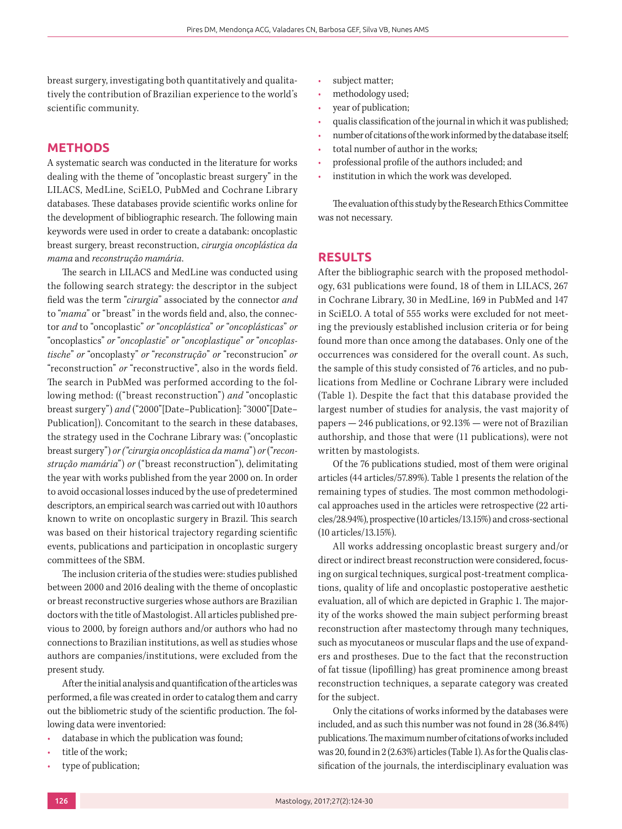breast surgery, investigating both quantitatively and qualitatively the contribution of Brazilian experience to the world's scientific community.

### **METHODS**

A systematic search was conducted in the literature for works dealing with the theme of "oncoplastic breast surgery" in the LILACS, MedLine, SciELO, PubMed and Cochrane Library databases. These databases provide scientific works online for the development of bibliographic research. The following main keywords were used in order to create a databank: oncoplastic breast surgery, breast reconstruction, *cirurgia oncoplástica da mama* and *reconstrução mamária*.

The search in LILACS and MedLine was conducted using the following search strategy: the descriptor in the subject field was the term "*cirurgia*" associated by the connector *and* to "*mama*" or "breast" in the words field and, also, the connector *and* to "oncoplastic" *or* "*oncoplástica*" *or* "*oncoplásticas*" *or*  "oncoplastics" *or* "*oncoplastie*" *or* "*oncoplastique*" *or* "*oncoplastische*" *or* "oncoplasty" *or* "*reconstrução*" *or* "reconstrucion" *or*  "reconstruction" *or* "reconstructive", also in the words field. The search in PubMed was performed according to the following method: (("breast reconstruction") *and* "oncoplastic breast surgery") *and* ("2000"[Date–Publication]: "3000"[Date– Publication]). Concomitant to the search in these databases, the strategy used in the Cochrane Library was: ("oncoplastic breast surgery") *or ("cirurgia oncoplástica da mama*") *or* ("*reconstrução mamária*") *or* ("breast reconstruction"), delimitating the year with works published from the year 2000 on. In order to avoid occasional losses induced by the use of predetermined descriptors, an empirical search was carried out with 10 authors known to write on oncoplastic surgery in Brazil. This search was based on their historical trajectory regarding scientific events, publications and participation in oncoplastic surgery committees of the SBM.

The inclusion criteria of the studies were: studies published between 2000 and 2016 dealing with the theme of oncoplastic or breast reconstructive surgeries whose authors are Brazilian doctors with the title of Mastologist. All articles published previous to 2000, by foreign authors and/or authors who had no connections to Brazilian institutions, as well as studies whose authors are companies/institutions, were excluded from the present study.

After the initial analysis and quantification of the articles was performed, a file was created in order to catalog them and carry out the bibliometric study of the scientific production. The following data were inventoried:

- database in which the publication was found;
- title of the work:
- type of publication;
- subject matter;
- methodology used;
- year of publication;
- qualis classification of the journal in which it was published;
- number of citations of the work informed by the database itself;
- total number of author in the works;
- professional profile of the authors included; and
- institution in which the work was developed.

The evaluation of this study by the Research Ethics Committee was not necessary.

#### **RESULTS**

After the bibliographic search with the proposed methodology, 631 publications were found, 18 of them in LILACS, 267 in Cochrane Library, 30 in MedLine, 169 in PubMed and 147 in SciELO. A total of 555 works were excluded for not meeting the previously established inclusion criteria or for being found more than once among the databases. Only one of the occurrences was considered for the overall count. As such, the sample of this study consisted of 76 articles, and no publications from Medline or Cochrane Library were included (Table 1). Despite the fact that this database provided the largest number of studies for analysis, the vast majority of papers — 246 publications, or 92.13% — were not of Brazilian authorship, and those that were (11 publications), were not written by mastologists.

Of the 76 publications studied, most of them were original articles (44 articles/57.89%). Table 1 presents the relation of the remaining types of studies. The most common methodological approaches used in the articles were retrospective (22 articles/28.94%), prospective (10 articles/13.15%) and cross-sectional (10 articles/13.15%).

All works addressing oncoplastic breast surgery and/or direct or indirect breast reconstruction were considered, focusing on surgical techniques, surgical post-treatment complications, quality of life and oncoplastic postoperative aesthetic evaluation, all of which are depicted in Graphic 1. The majority of the works showed the main subject performing breast reconstruction after mastectomy through many techniques, such as myocutaneos or muscular flaps and the use of expanders and prostheses. Due to the fact that the reconstruction of fat tissue (lipofilling) has great prominence among breast reconstruction techniques, a separate category was created for the subject.

Only the citations of works informed by the databases were included, and as such this number was not found in 28 (36.84%) publications. The maximum number of citations of works included was 20, found in 2 (2.63%) articles (Table 1). As for the Qualis classification of the journals, the interdisciplinary evaluation was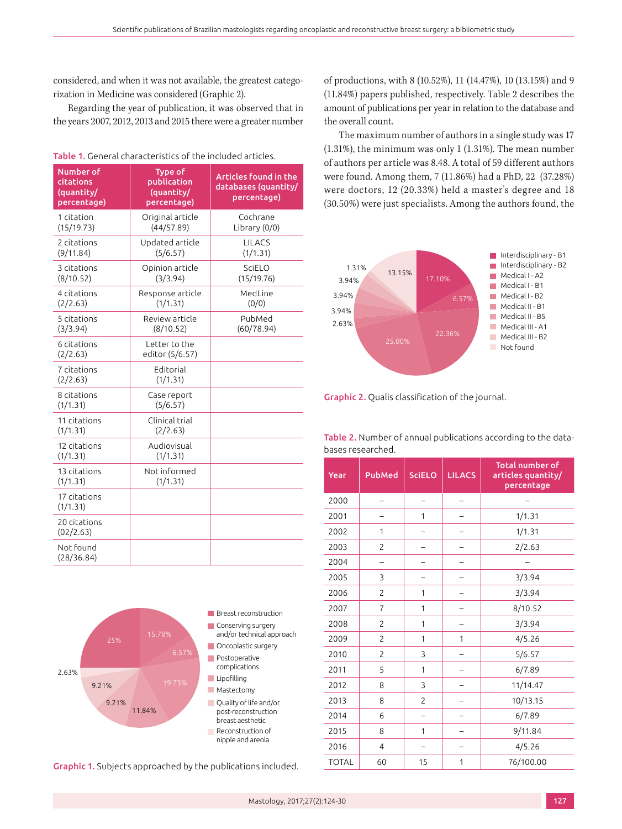considered, and when it was not available, the greatest categorization in Medicine was considered (Graphic 2).

Regarding the year of publication, it was observed that in the years 2007, 2012, 2013 and 2015 there were a greater number

| Number of<br>citations<br>(quantity/<br>percentage) | Type of<br>publication<br>(quantity/<br>percentage) | <b>Articles found in the</b><br>databases (quantity/<br>percentage) |
|-----------------------------------------------------|-----------------------------------------------------|---------------------------------------------------------------------|
| 1 citation<br>(15/19.73)                            | Original article<br>(44/57.89)                      | Cochrane<br>Library (0/0)                                           |
| 2 citations<br>(9/11.84)                            | Updated article<br>(5/6.57)                         | <b>LILACS</b><br>(1/1.31)                                           |
| 3 citations<br>(8/10.52)                            | Opinion article<br>(3/3.94)                         | SciELO<br>(15/19.76)                                                |
| 4 citations<br>(2/2.63)                             | Response article<br>(1/1.31)                        | MedLine<br>(0/0)                                                    |
| 5 citations<br>(3/3.94)                             | Review article<br>(8/10.52)                         | PubMed<br>(60/78.94)                                                |
| 6 citations<br>(2/2.63)                             | Letter to the<br>editor (5/6.57)                    |                                                                     |
| 7 citations<br>(2/2.63)                             | Editorial<br>(1/1.31)                               |                                                                     |
| 8 citations<br>(1/1.31)                             | Case report<br>(5/6.57)                             |                                                                     |
| 11 citations<br>(1/1.31)                            | Clinical trial<br>(2/2.63)                          |                                                                     |
| 12 citations<br>(1/1.31)                            | Audiovisual<br>(1/1.31)                             |                                                                     |
| 13 citations<br>(1/1.31)                            | Not informed<br>(1/1.31)                            |                                                                     |
| 17 citations<br>(1/1.31)                            |                                                     |                                                                     |
| 20 citations<br>(02/2.63)                           |                                                     |                                                                     |
| Not found<br>(28/36.84)                             |                                                     |                                                                     |

Table 1. General characteristics of the included articles.



Graphic 1. Subjects approached by the publications included.

of productions, with 8 (10.52%), 11 (14.47%), 10 (13.15%) and 9 (11.84%) papers published, respectively. Table 2 describes the amount of publications per year in relation to the database and the overall count.

The maximum number of authors in a single study was 17 (1.31%), the minimum was only 1 (1.31%). The mean number of authors per article was 8.48. A total of 59 different authors were found. Among them, 7 (11.86%) had a PhD, 22 (37.28%) were doctors, 12 (20.33%) held a master's degree and 18 (30.50%) were just specialists. Among the authors found, the



Graphic 2. Qualis classification of the journal.

| Table 2. Number of annual publications according to the data- |  |  |
|---------------------------------------------------------------|--|--|
| bases researched.                                             |  |  |

| Year         | PubMed         | <b>SciELO</b>  | <b>LILACS</b> | <b>Total number of</b><br>articles quantity/<br>percentage |
|--------------|----------------|----------------|---------------|------------------------------------------------------------|
| 2000         |                |                |               |                                                            |
| 2001         |                | 1              |               | 1/1.31                                                     |
| 2002         | 1              |                |               | 1/1.31                                                     |
| 2003         | $\overline{c}$ |                |               | 2/2.63                                                     |
| 2004         |                |                |               |                                                            |
| 2005         | 3              |                |               | 3/3.94                                                     |
| 2006         | 2              | 1              |               | 3/3.94                                                     |
| 2007         | 7              | 1              |               | 8/10.52                                                    |
| 2008         | $\overline{c}$ | 1              |               | 3/3.94                                                     |
| 2009         | $\overline{c}$ | 1              | 1             | 4/5.26                                                     |
| 2010         | $\overline{c}$ | 3              |               | 5/6.57                                                     |
| 2011         | 5              | 1              |               | 6/7.89                                                     |
| 2012         | 8              | 3              |               | 11/14.47                                                   |
| 2013         | 8              | $\overline{c}$ |               | 10/13.15                                                   |
| 2014         | 6              |                |               | 6/7.89                                                     |
| 2015         | 8              | 1              |               | 9/11.84                                                    |
| 2016         | 4              |                |               | 4/5.26                                                     |
| <b>TOTAL</b> | 60             | 15             | 1             | 76/100.00                                                  |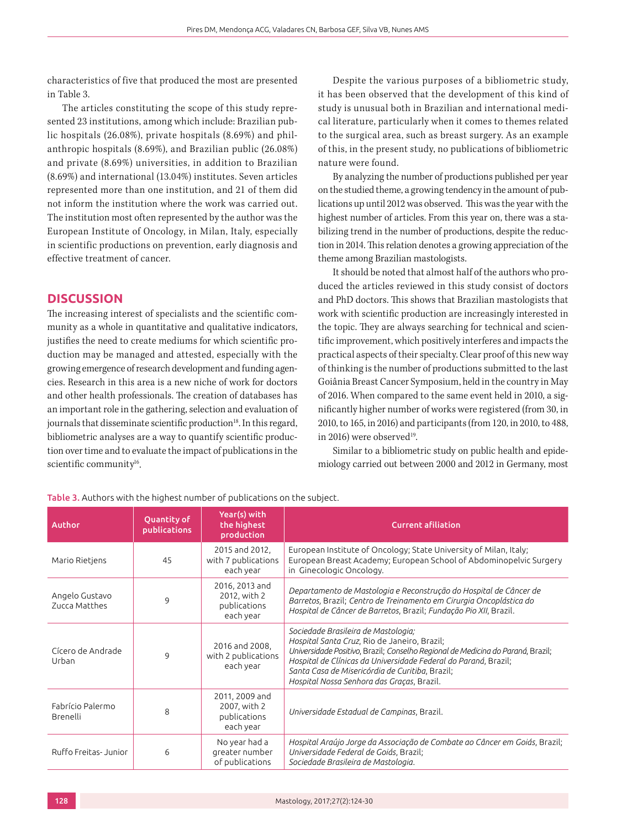characteristics of five that produced the most are presented in Table 3.

The articles constituting the scope of this study represented 23 institutions, among which include: Brazilian public hospitals (26.08%), private hospitals (8.69%) and philanthropic hospitals (8.69%), and Brazilian public (26.08%) and private (8.69%) universities, in addition to Brazilian (8.69%) and international (13.04%) institutes. Seven articles represented more than one institution, and 21 of them did not inform the institution where the work was carried out. The institution most often represented by the author was the European Institute of Oncology, in Milan, Italy, especially in scientific productions on prevention, early diagnosis and effective treatment of cancer.

# **DISCUSSION**

The increasing interest of specialists and the scientific community as a whole in quantitative and qualitative indicators, justifies the need to create mediums for which scientific production may be managed and attested, especially with the growing emergence of research development and funding agencies. Research in this area is a new niche of work for doctors and other health professionals. The creation of databases has an important role in the gathering, selection and evaluation of journals that disseminate scientific production<sup>18</sup>. In this regard, bibliometric analyses are a way to quantify scientific production over time and to evaluate the impact of publications in the scientific community<sup>16</sup>.

Despite the various purposes of a bibliometric study, it has been observed that the development of this kind of study is unusual both in Brazilian and international medical literature, particularly when it comes to themes related to the surgical area, such as breast surgery. As an example of this, in the present study, no publications of bibliometric nature were found.

By analyzing the number of productions published per year on the studied theme, a growing tendency in the amount of publications up until 2012 was observed. This was the year with the highest number of articles. From this year on, there was a stabilizing trend in the number of productions, despite the reduction in 2014. This relation denotes a growing appreciation of the theme among Brazilian mastologists.

It should be noted that almost half of the authors who produced the articles reviewed in this study consist of doctors and PhD doctors. This shows that Brazilian mastologists that work with scientific production are increasingly interested in the topic. They are always searching for technical and scientific improvement, which positively interferes and impacts the practical aspects of their specialty. Clear proof of this new way of thinking is the number of productions submitted to the last Goiânia Breast Cancer Symposium, held in the country in May of 2016. When compared to the same event held in 2010, a significantly higher number of works were registered (from 30, in 2010, to 165, in 2016) and participants (from 120, in 2010, to 488, in 2016) were observed<sup>19</sup>.

Similar to a bibliometric study on public health and epidemiology carried out between 2000 and 2012 in Germany, most

| <b>Author</b>                   | Quantity of<br>publications | Year(s) with<br>the highest<br>production                   | <b>Current afiliation</b>                                                                                                                                                                                                                                                                                                                  |
|---------------------------------|-----------------------------|-------------------------------------------------------------|--------------------------------------------------------------------------------------------------------------------------------------------------------------------------------------------------------------------------------------------------------------------------------------------------------------------------------------------|
| Mario Rietjens                  | 45                          | 2015 and 2012,<br>with 7 publications<br>each year          | European Institute of Oncology; State University of Milan, Italy;<br>European Breast Academy; European School of Abdominopelvic Surgery<br>in Ginecologic Oncology.                                                                                                                                                                        |
| Angelo Gustavo<br>Zucca Matthes | 9                           | 2016, 2013 and<br>2012, with 2<br>publications<br>each year | Departamento de Mastologia e Reconstrução do Hospital de Câncer de<br>Barretos, Brazil; Centro de Treinamento em Cirurgia Oncoplástica do<br>Hospital de Câncer de Barretos, Brazil; Fundação Pio XII, Brazil.                                                                                                                             |
| Cícero de Andrade<br>Urban      | 9                           | 2016 and 2008,<br>with 2 publications<br>each year          | Sociedade Brasileira de Mastologia;<br>Hospital Santa Cruz, Rio de Janeiro, Brazil;<br>Universidade Positivo, Brazil; Conselho Regional de Medicina do Paraná, Brazil;<br>Hospital de Clínicas da Universidade Federal do Paraná, Brazil;<br>Santa Casa de Misericórdia de Curitiba, Brazil;<br>Hospital Nossa Senhora das Graças, Brazil. |
| Fabrício Palermo<br>Brenelli    | 8                           | 2011, 2009 and<br>2007, with 2<br>publications<br>each year | Universidade Estadual de Campinas, Brazil.                                                                                                                                                                                                                                                                                                 |
| Ruffo Freitas- Junior           | 6                           | No year had a<br>greater number<br>of publications          | Hospital Araújo Jorge da Associação de Combate ao Câncer em Goiás, Brazil;<br>Universidade Federal de Goiás, Brazil;<br>Sociedade Brasileira de Mastologia.                                                                                                                                                                                |

#### Table 3. Authors with the highest number of publications on the subject.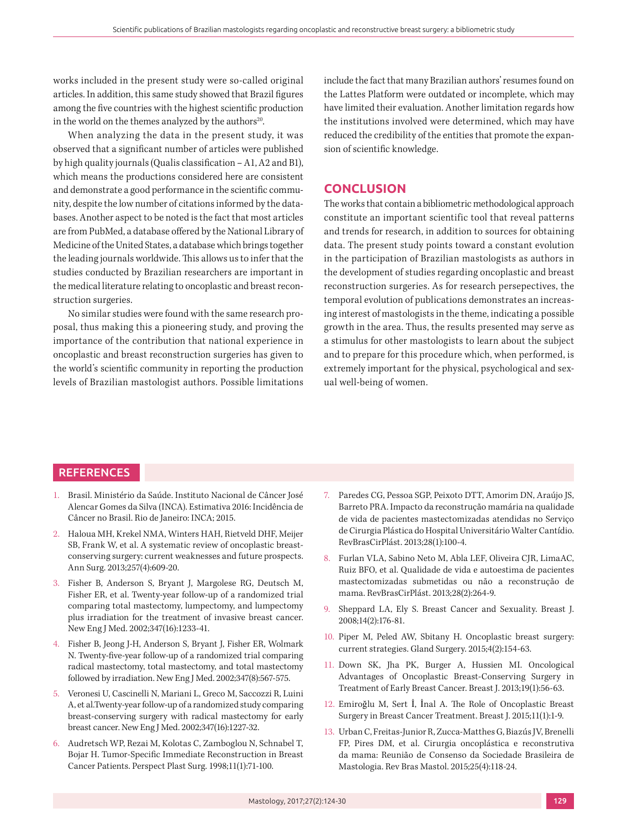works included in the present study were so-called original articles. In addition, this same study showed that Brazil figures among the five countries with the highest scientific production in the world on the themes analyzed by the authors<sup>20</sup>.

When analyzing the data in the present study, it was observed that a significant number of articles were published by high quality journals (Qualis classification – A1, A2 and B1), which means the productions considered here are consistent and demonstrate a good performance in the scientific community, despite the low number of citations informed by the databases. Another aspect to be noted is the fact that most articles are from PubMed, a database offered by the National Library of Medicine of the United States, a database which brings together the leading journals worldwide. This allows us to infer that the studies conducted by Brazilian researchers are important in the medical literature relating to oncoplastic and breast reconstruction surgeries.

No similar studies were found with the same research proposal, thus making this a pioneering study, and proving the importance of the contribution that national experience in oncoplastic and breast reconstruction surgeries has given to the world's scientific community in reporting the production levels of Brazilian mastologist authors. Possible limitations include the fact that many Brazilian authors' resumes found on the Lattes Platform were outdated or incomplete, which may have limited their evaluation. Another limitation regards how the institutions involved were determined, which may have reduced the credibility of the entities that promote the expansion of scientific knowledge.

#### **CONCLUSION**

The works that contain a bibliometric methodological approach constitute an important scientific tool that reveal patterns and trends for research, in addition to sources for obtaining data. The present study points toward a constant evolution in the participation of Brazilian mastologists as authors in the development of studies regarding oncoplastic and breast reconstruction surgeries. As for research persepectives, the temporal evolution of publications demonstrates an increasing interest of mastologists in the theme, indicating a possible growth in the area. Thus, the results presented may serve as a stimulus for other mastologists to learn about the subject and to prepare for this procedure which, when performed, is extremely important for the physical, psychological and sexual well-being of women.

#### **REFERENCES**

- 1. Brasil. Ministério da Saúde. Instituto Nacional de Câncer José Alencar Gomes da Silva (INCA). Estimativa 2016: Incidência de Câncer no Brasil. Rio de Janeiro: INCA; 2015.
- 2. Haloua MH, Krekel NMA, Winters HAH, Rietveld DHF, Meijer SB, Frank W, et al. A systematic review of oncoplastic breastconserving surgery: current weaknesses and future prospects. Ann Surg. 2013;257(4):609-20.
- 3. Fisher B, Anderson S, Bryant J, Margolese RG, Deutsch M, Fisher ER, et al. Twenty-year follow-up of a randomized trial comparing total mastectomy, lumpectomy, and lumpectomy plus irradiation for the treatment of invasive breast cancer. New Eng J Med. 2002;347(16):1233-41.
- 4. Fisher B, Jeong J-H, Anderson S, Bryant J, Fisher ER, Wolmark N. Twenty-five-year follow-up of a randomized trial comparing radical mastectomy, total mastectomy, and total mastectomy followed by irradiation. New Eng J Med. 2002;347(8):567-575.
- 5. Veronesi U, Cascinelli N, Mariani L, Greco M, Saccozzi R, Luini A, et al.Twenty-year follow-up of a randomized study comparing breast-conserving surgery with radical mastectomy for early breast cancer. New Eng J Med. 2002;347(16):1227-32.
- 6. Audretsch WP, Rezai M, Kolotas C, Zamboglou N, Schnabel T, Bojar H. Tumor-Specific Immediate Reconstruction in Breast Cancer Patients. Perspect Plast Surg. 1998;11(1):71-100.
- 7. Paredes CG, Pessoa SGP, Peixoto DTT, Amorim DN, Araújo JS, Barreto PRA. Impacto da reconstrução mamária na qualidade de vida de pacientes mastectomizadas atendidas no Serviço de Cirurgia Plástica do Hospital Universitário Walter Cantídio. RevBrasCirPlást. 2013;28(1):100-4.
- 8. Furlan VLA, Sabino Neto M, Abla LEF, Oliveira CJR, LimaAC, Ruiz BFO, et al. Qualidade de vida e autoestima de pacientes mastectomizadas submetidas ou não a reconstrução de mama. RevBrasCirPlást. 2013;28(2):264-9.
- 9. Sheppard LA, Ely S. Breast Cancer and Sexuality. Breast J. 2008;14(2):176-81.
- 10. Piper M, Peled AW, Sbitany H. Oncoplastic breast surgery: current strategies. Gland Surgery. 2015;4(2):154-63.
- 11. Down SK, Jha PK, Burger A, Hussien MI. Oncological Advantages of Oncoplastic Breast-Conserving Surgery in Treatment of Early Breast Cancer. Breast J. 2013;19(1):56-63.
- 12. Emiroğlu M, Sert İ, İnal A. The Role of Oncoplastic Breast Surgery in Breast Cancer Treatment. Breast J. 2015;11(1):1-9.
- 13. Urban C, Freitas-Junior R, Zucca-Matthes G, Biazús JV, Brenelli FP, Pires DM, et al. Cirurgia oncoplástica e reconstrutiva da mama: Reunião de Consenso da Sociedade Brasileira de Mastologia. Rev Bras Mastol. 2015;25(4):118-24.